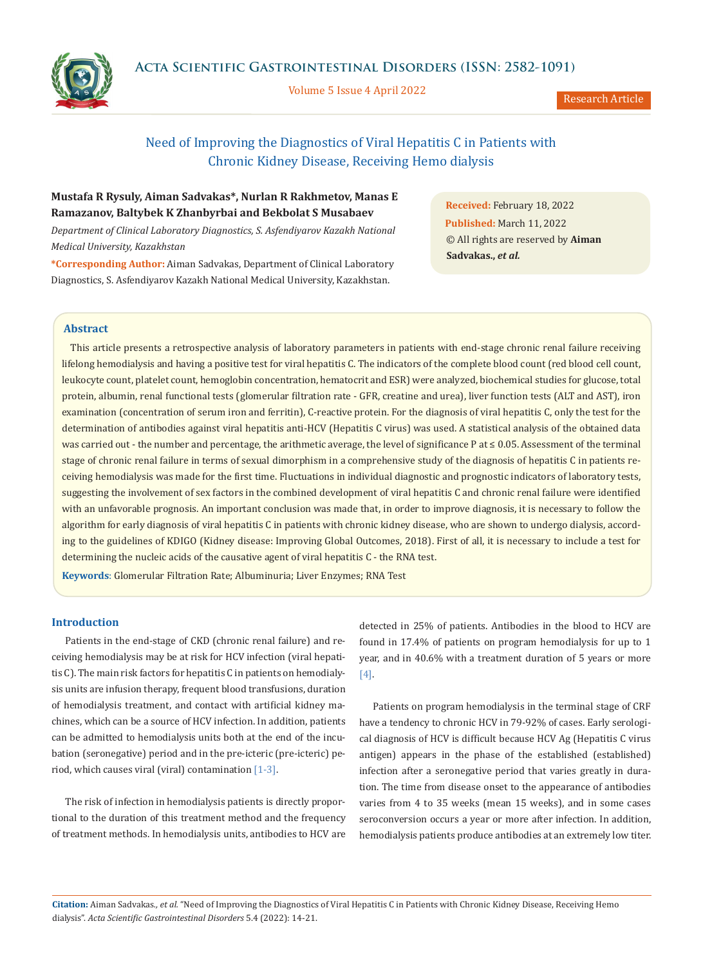

Volume 5 Issue 4 April 2022



Research Article

# Need of Improving the Diagnostics of Viral Hepatitis C in Patients with Chronic Kidney Disease, Receiving Hemo dialysis

# **Mustafa R Rysuly, Aiman Sadvakas\*, Nurlan R Rakhmetov, Manas E Ramazanov, Baltybek K Zhanbyrbai and Bekbolat S Musabaev**

*Department of Clinical Laboratory Diagnostics, S. Asfendiyarov Kazakh National Medical University, Kazakhstan*

**\*Corresponding Author:** Aiman Sadvakas, Department of Clinical Laboratory Diagnostics, S. Asfendiyarov Kazakh National Medical University, Kazakhstan.

**Received:** February 18, 2022 **Published:** March 11, 2022 © All rights are reserved by **Aiman Sadvakas.,** *et al.* 

## **Abstract**

 This article presents a retrospective analysis of laboratory parameters in patients with end-stage chronic renal failure receiving lifelong hemodialysis and having a positive test for viral hepatitis C. The indicators of the complete blood count (red blood cell count, leukocyte count, platelet count, hemoglobin concentration, hematocrit and ESR) were analyzed, biochemical studies for glucose, total protein, albumin, renal functional tests (glomerular filtration rate - GFR, creatine and urea), liver function tests (ALT and AST), iron examination (concentration of serum iron and ferritin), C-reactive protein. For the diagnosis of viral hepatitis C, only the test for the determination of antibodies against viral hepatitis anti-HCV (Hepatitis C virus) was used. A statistical analysis of the obtained data was carried out - the number and percentage, the arithmetic average, the level of significance P at ≤ 0.05. Assessment of the terminal stage of chronic renal failure in terms of sexual dimorphism in a comprehensive study of the diagnosis of hepatitis C in patients receiving hemodialysis was made for the first time. Fluctuations in individual diagnostic and prognostic indicators of laboratory tests, suggesting the involvement of sex factors in the combined development of viral hepatitis C and chronic renal failure were identified with an unfavorable prognosis. An important conclusion was made that, in order to improve diagnosis, it is necessary to follow the algorithm for early diagnosis of viral hepatitis C in patients with chronic kidney disease, who are shown to undergo dialysis, according to the guidelines of KDIGO (Kidney disease: Improving Global Outcomes, 2018). First of all, it is necessary to include a test for determining the nucleic acids of the causative agent of viral hepatitis C - the RNA test.

**Keywords**: Glomerular Filtration Rate; Albuminuria; Liver Enzymes; RNA Test

## **Introduction**

Patients in the end-stage of CKD (chronic renal failure) and receiving hemodialysis may be at risk for HCV infection (viral hepatitis C). The main risk factors for hepatitis C in patients on hemodialysis units are infusion therapy, frequent blood transfusions, duration of hemodialysis treatment, and contact with artificial kidney machines, which can be a source of HCV infection. In addition, patients can be admitted to hemodialysis units both at the end of the incubation (seronegative) period and in the pre-icteric (pre-icteric) period, which causes viral (viral) contamination  $[1-3]$ .

The risk of infection in hemodialysis patients is directly proportional to the duration of this treatment method and the frequency of treatment methods. In hemodialysis units, antibodies to HCV are

detected in 25% of patients. Antibodies in the blood to HCV are found in 17.4% of patients on program hemodialysis for up to 1 year, and in 40.6% with a treatment duration of 5 years or more [4].

Patients on program hemodialysis in the terminal stage of CRF have a tendency to chronic HCV in 79-92% of cases. Early serological diagnosis of HCV is difficult because HCV Ag (Hepatitis C virus antigen) appears in the phase of the established (established) infection after a seronegative period that varies greatly in duration. The time from disease onset to the appearance of antibodies varies from 4 to 35 weeks (mean 15 weeks), and in some cases seroconversion occurs a year or more after infection. In addition, hemodialysis patients produce antibodies at an extremely low titer.

**Citation:** Aiman Sadvakas*., et al.* "Need of Improving the Diagnostics of Viral Hepatitis C in Patients with Chronic Kidney Disease, Receiving Hemo dialysis". *Acta Scientific Gastrointestinal Disorders* 5.4 (2022): 14-21.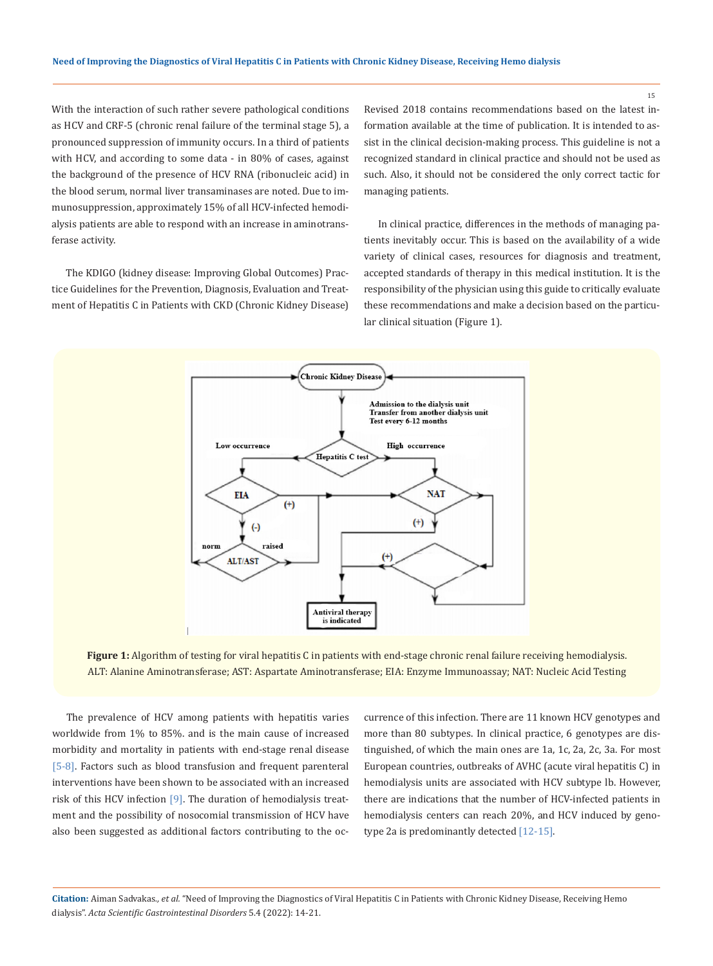With the interaction of such rather severe pathological conditions as HCV and CRF-5 (chronic renal failure of the terminal stage 5), a pronounced suppression of immunity occurs. In a third of patients with HCV, and according to some data - in 80% of cases, against the background of the presence of HCV RNA (ribonucleic acid) in the blood serum, normal liver transaminases are noted. Due to immunosuppression, approximately 15% of all HCV-infected hemodialysis patients are able to respond with an increase in aminotransferase activity.

The KDIGO (kidney disease: Improving Global Outcomes) Practice Guidelines for the Prevention, Diagnosis, Evaluation and Treatment of Hepatitis C in Patients with CKD (Chronic Kidney Disease) Revised 2018 contains recommendations based on the latest information available at the time of publication. It is intended to assist in the clinical decision-making process. This guideline is not a recognized standard in clinical practice and should not be used as such. Also, it should not be considered the only correct tactic for managing patients.

In clinical practice, differences in the methods of managing patients inevitably occur. This is based on the availability of a wide variety of clinical cases, resources for diagnosis and treatment, accepted standards of therapy in this medical institution. It is the responsibility of the physician using this guide to critically evaluate these recommendations and make a decision based on the particular clinical situation (Figure 1).





The prevalence of HCV among patients with hepatitis varies worldwide from 1% to 85%. and is the main cause of increased morbidity and mortality in patients with end-stage renal disease [5-8]. Factors such as blood transfusion and frequent parenteral interventions have been shown to be associated with an increased risk of this HCV infection [9]. The duration of hemodialysis treatment and the possibility of nosocomial transmission of HCV have also been suggested as additional factors contributing to the occurrence of this infection. There are 11 known HCV genotypes and more than 80 subtypes. In clinical practice, 6 genotypes are distinguished, of which the main ones are 1a, 1c, 2a, 2c, 3a. For most European countries, outbreaks of AVHC (acute viral hepatitis C) in hemodialysis units are associated with HCV subtype lb. However, there are indications that the number of HCV-infected patients in hemodialysis centers can reach 20%, and HCV induced by genotype 2a is predominantly detected [12-15].

**Citation:** Aiman Sadvakas*., et al.* "Need of Improving the Diagnostics of Viral Hepatitis C in Patients with Chronic Kidney Disease, Receiving Hemo dialysis". *Acta Scientific Gastrointestinal Disorders* 5.4 (2022): 14-21.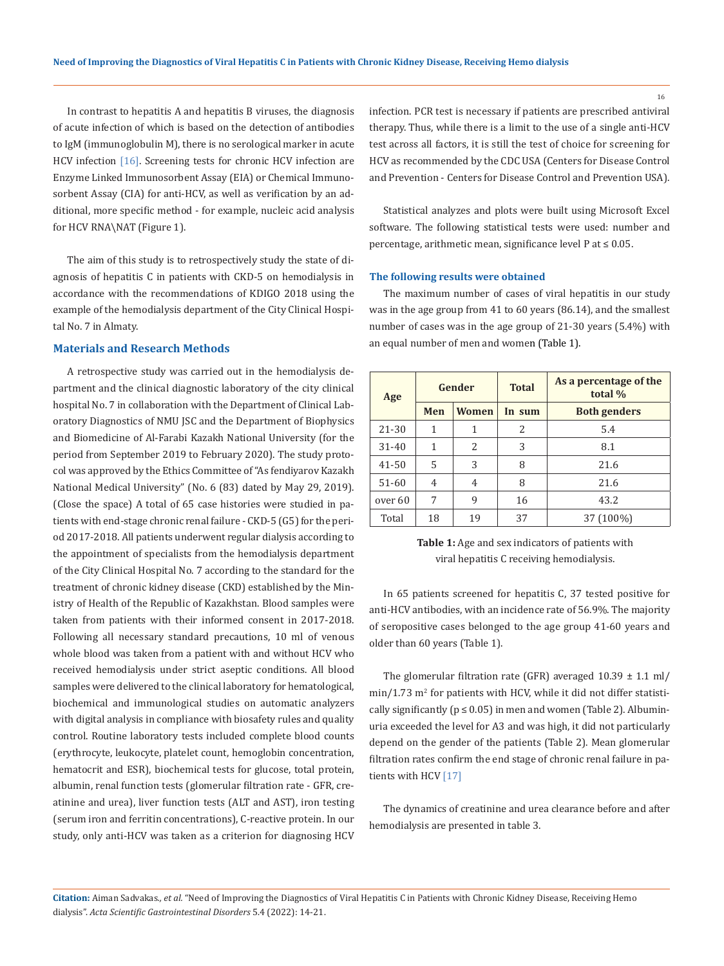In contrast to hepatitis A and hepatitis B viruses, the diagnosis of acute infection of which is based on the detection of antibodies to IgM (immunoglobulin M), there is no serological marker in acute HCV infection [16]. Screening tests for chronic HCV infection are Enzyme Linked Immunosorbent Assay (EIA) or Chemical Immunosorbent Assay (CIA) for anti-HCV, as well as verification by an additional, more specific method - for example, nucleic acid analysis for HCV RNA\NAT (Figure 1).

The aim of this study is to retrospectively study the state of diagnosis of hepatitis C in patients with CKD-5 on hemodialysis in accordance with the recommendations of KDIGO 2018 using the example of the hemodialysis department of the City Clinical Hospital No. 7 in Almaty.

#### **Materials and Research Methods**

A retrospective study was carried out in the hemodialysis department and the clinical diagnostic laboratory of the city clinical hospital No. 7 in collaboration with the Department of Clinical Laboratory Diagnostics of NMU JSC and the Department of Biophysics and Biomedicine of Al-Farabi Kazakh National University (for the period from September 2019 to February 2020). The study protocol was approved by the Ethics Committee of "As fendiyarov Kazakh National Medical University" (No. 6 (83) dated by May 29, 2019). (Close the space) A total of 65 case histories were studied in patients with end-stage chronic renal failure - CKD-5 (G5) for the period 2017-2018. All patients underwent regular dialysis according to the appointment of specialists from the hemodialysis department of the City Clinical Hospital No. 7 according to the standard for the treatment of chronic kidney disease (CKD) established by the Ministry of Health of the Republic of Kazakhstan. Blood samples were taken from patients with their informed consent in 2017-2018. Following all necessary standard precautions, 10 ml of venous whole blood was taken from a patient with and without HCV who received hemodialysis under strict aseptic conditions. All blood samples were delivered to the clinical laboratory for hematological, biochemical and immunological studies on automatic analyzers with digital analysis in compliance with biosafety rules and quality control. Routine laboratory tests included complete blood counts (erythrocyte, leukocyte, platelet count, hemoglobin concentration, hematocrit and ESR), biochemical tests for glucose, total protein, albumin, renal function tests (glomerular filtration rate - GFR, creatinine and urea), liver function tests (ALT and AST), iron testing (serum iron and ferritin concentrations), C-reactive protein. In our study, only anti-HCV was taken as a criterion for diagnosing HCV

infection. PCR test is necessary if patients are prescribed antiviral therapy. Thus, while there is a limit to the use of a single anti-HCV test across all factors, it is still the test of choice for screening for HCV as recommended by the CDC USA (Centers for Disease Control and Prevention - Centers for Disease Control and Prevention USA).

Statistical analyzes and plots were built using Microsoft Excel software. The following statistical tests were used: number and percentage, arithmetic mean, significance level P at ≤ 0.05.

#### **The following results were obtained**

The maximum number of cases of viral hepatitis in our study was in the age group from 41 to 60 years (86.14), and the smallest number of cases was in the age group of 21-30 years (5.4%) with an equal number of men and women (Table 1).

| Age       | Gender     |                          | <b>Total</b> | As a percentage of the<br>total % |  |  |
|-----------|------------|--------------------------|--------------|-----------------------------------|--|--|
|           | <b>Men</b> | <b>Women</b>             | In sum       | <b>Both genders</b>               |  |  |
| 21-30     | 1          | 1                        | 2            | 5.4                               |  |  |
| $31 - 40$ | 1          | $\overline{\mathcal{L}}$ | 3            | 8.1                               |  |  |
| 41-50     | 5          | 3                        | 8            | 21.6                              |  |  |
| $51 - 60$ | 4          | 4                        | 8            | 21.6                              |  |  |
| over 60   | 7          | 9                        | 16           | 43.2                              |  |  |
| Total     | 18         | 19                       | 37           | 37 (100%)                         |  |  |

**Table 1:** Age and sex indicators of patients with viral hepatitis C receiving hemodialysis.

In 65 patients screened for hepatitis C, 37 tested positive for anti-HCV antibodies, with an incidence rate of 56.9%. The majority of seropositive cases belonged to the age group 41-60 years and older than 60 years (Table 1).

The glomerular filtration rate (GFR) averaged  $10.39 \pm 1.1$  ml/  $min/1.73$   $m<sup>2</sup>$  for patients with HCV, while it did not differ statistically significantly ( $p \le 0.05$ ) in men and women (Table 2). Albuminuria exceeded the level for A3 and was high, it did not particularly depend on the gender of the patients (Table 2). Mean glomerular filtration rates confirm the end stage of chronic renal failure in patients with HCV [17]

The dynamics of creatinine and urea clearance before and after hemodialysis are presented in table 3.

**Citation:** Aiman Sadvakas*., et al.* "Need of Improving the Diagnostics of Viral Hepatitis C in Patients with Chronic Kidney Disease, Receiving Hemo dialysis". *Acta Scientific Gastrointestinal Disorders* 5.4 (2022): 14-21.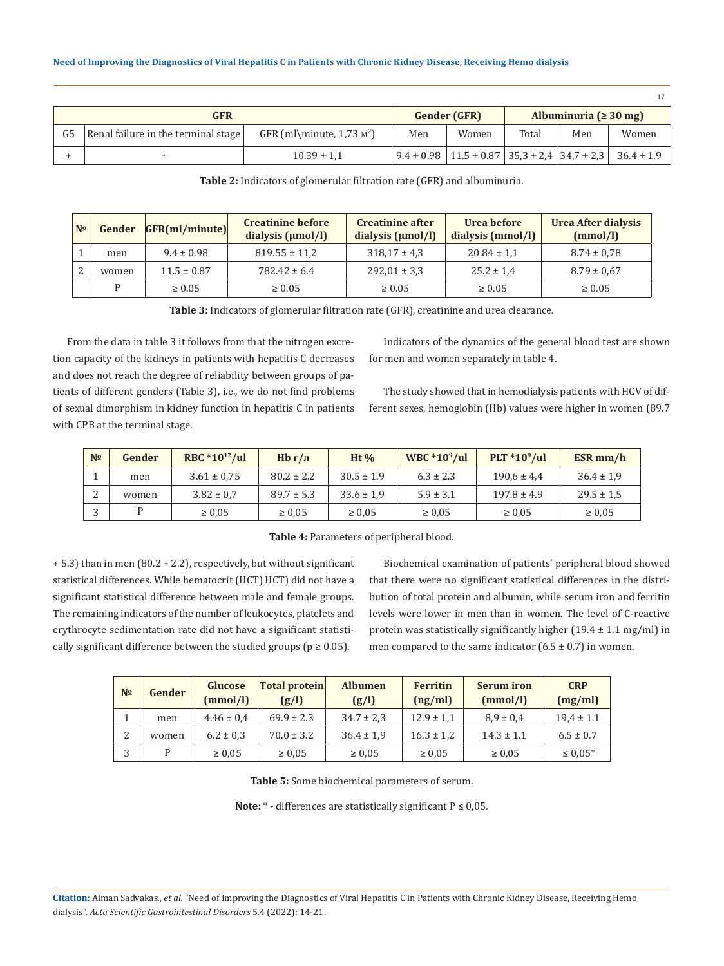| GFR |                                     |                                      |     | <b>Gender (GFR)</b> |       | Albuminuria ( $\geq 30$ mg) |                                                                                     |  |
|-----|-------------------------------------|--------------------------------------|-----|---------------------|-------|-----------------------------|-------------------------------------------------------------------------------------|--|
|     | Renal failure in the terminal stage | GFR (ml\minute, $1,73 \text{ m}^2$ ) | Men | Women               | Total | Men                         | Women                                                                               |  |
|     |                                     | $10.39 \pm 1.1$                      |     |                     |       |                             | $9.4 \pm 0.98$   11.5 $\pm$ 0.87   35,3 $\pm$ 2,4   34,7 $\pm$ 2,3   36.4 $\pm$ 1,9 |  |

**Table 2:** Indicators of glomerular filtration rate (GFR) and albuminuria.

| N <sub>2</sub> | Gender | GFR(mI/minute)  | <b>Creatinine before</b><br>dialysis $(\mu \text{mol/l})$ | Creatinine after<br>dialysis $(\mu \text{mol/l})$ | Urea before<br>dialysis (mmol/l) | Urea After dialysis<br>(mmol/l) |
|----------------|--------|-----------------|-----------------------------------------------------------|---------------------------------------------------|----------------------------------|---------------------------------|
|                | men    | $9.4 \pm 0.98$  | $819.55 \pm 11.2$                                         | $318,17 \pm 4,3$                                  | $20.84 \pm 1.1$                  | $8.74 \pm 0.78$                 |
|                | women  | $11.5 \pm 0.87$ | $782.42 \pm 6.4$                                          | $292,01 \pm 3,3$                                  | $25.2 \pm 1.4$                   | $8.79 \pm 0.67$                 |
|                | D      | $\geq 0.05$     | $\geq 0.05$                                               | $\geq 0.05$                                       | $\geq 0.05$                      | $\geq 0.05$                     |

**Table 3:** Indicators of glomerular filtration rate (GFR), creatinine and urea clearance.

From the data in table 3 it follows from that the nitrogen excretion capacity of the kidneys in patients with hepatitis C decreases and does not reach the degree of reliability between groups of patients of different genders (Table 3), i.e., we do not find problems of sexual dimorphism in kidney function in hepatitis C in patients with CPB at the terminal stage.

Indicators of the dynamics of the general blood test are shown for men and women separately in table 4.

The study showed that in hemodialysis patients with HCV of different sexes, hemoglobin (Hb) values were higher in women (89.7

| N <sub>2</sub> | Gender | RBC $*10^{12}/ul$ | Hb г/л         | Ht $\%$        | WBC $*10^9$ /ul | $PLT * 109/ul$  | ESR mm/h       |
|----------------|--------|-------------------|----------------|----------------|-----------------|-----------------|----------------|
|                | men    | $3.61 \pm 0.75$   | $80.2 \pm 2.2$ | $30.5 \pm 1.9$ | $6.3 \pm 2.3$   | $190.6 \pm 4.4$ | $36.4 \pm 1.9$ |
|                | women  | $3.82 \pm 0.7$    | $89.7 \pm 5.3$ | $33.6 \pm 1.9$ | $5.9 \pm 3.1$   | $197.8 \pm 4.9$ | $29.5 \pm 1.5$ |
|                |        | $\geq 0.05$       | $\ge 0.05$     | $\geq 0.05$    | $\geq 0.05$     | $\geq 0.05$     | $\geq 0.05$    |

**Table 4:** Parameters of peripheral blood.

+ 5.3) than in men (80.2 + 2.2), respectively, but without significant statistical differences. While hematocrit (HCT) HCT) did not have a significant statistical difference between male and female groups. The remaining indicators of the number of leukocytes, platelets and erythrocyte sedimentation rate did not have a significant statistically significant difference between the studied groups ( $p \ge 0.05$ ).

Biochemical examination of patients' peripheral blood showed that there were no significant statistical differences in the distribution of total protein and albumin, while serum iron and ferritin levels were lower in men than in women. The level of C-reactive protein was statistically significantly higher  $(19.4 \pm 1.1 \text{ mg/ml})$  in men compared to the same indicator  $(6.5 \pm 0.7)$  in women.

| N <sub>2</sub> | Gender | Glucose<br>(mmol/l) | <b>Total protein</b><br>(g/l) | <b>Albumen</b><br>(g/l) | <b>Ferritin</b><br>(ng/ml) | <b>Serum</b> iron<br>(mmol/l) | <b>CRP</b><br>(mg/ml) |
|----------------|--------|---------------------|-------------------------------|-------------------------|----------------------------|-------------------------------|-----------------------|
|                | men    | $4.46 \pm 0.4$      | $69.9 \pm 2.3$                | $34.7 \pm 2.3$          | $12.9 \pm 1.1$             | $8.9 \pm 0.4$                 | $19.4 \pm 1.1$        |
|                | women  | $6.2 \pm 0.3$       | $70.0 \pm 3.2$                | $36.4 \pm 1.9$          | $16.3 \pm 1.2$             | $14.3 \pm 1.1$                | $6.5 \pm 0.7$         |
|                |        | $\ge 0.05$          | $\ge 0.05$                    | $\ge 0.05$              | $\ge 0.05$                 | $\ge 0.05$                    | $\leq 0.05*$          |

**Table 5:** Some biochemical parameters of serum.

**Note:** \* - differences are statistically significant Р ≤ 0,05.

**Citation:** Aiman Sadvakas*., et al.* "Need of Improving the Diagnostics of Viral Hepatitis C in Patients with Chronic Kidney Disease, Receiving Hemo dialysis". *Acta Scientific Gastrointestinal Disorders* 5.4 (2022): 14-21.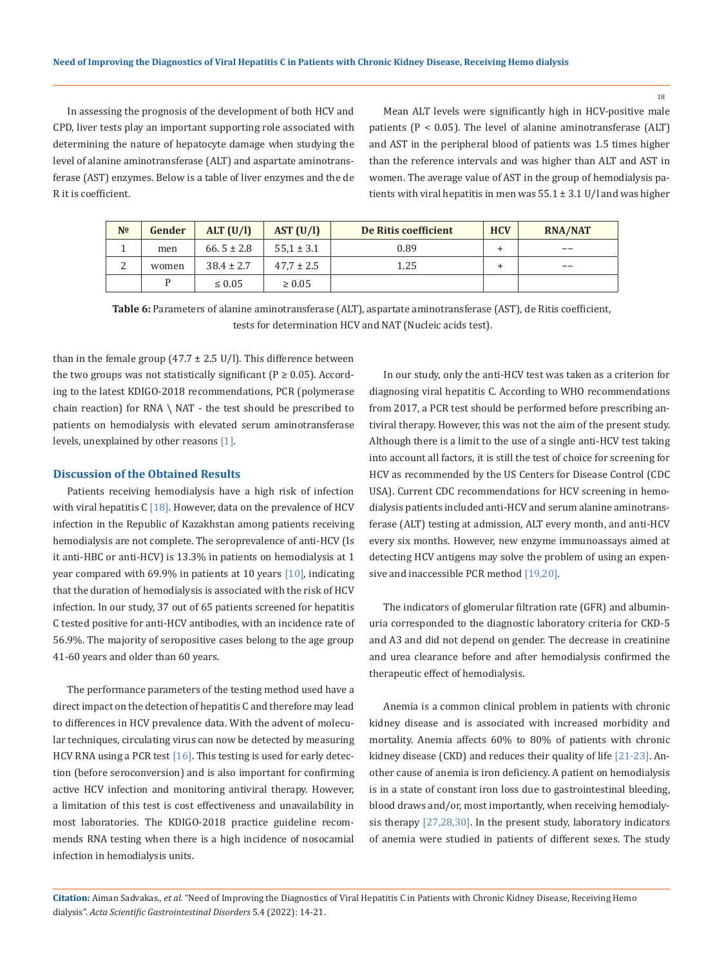18

In assessing the prognosis of the development of both HCV and CPD, liver tests play an important supporting role associated with determining the nature of hepatocyte damage when studying the level of alanine aminotransferase (ALT) and aspartate aminotransferase (AST) enzymes. Below is a table of liver enzymes and the de R it is coefficient.

Mean ALT levels were significantly high in HCV-positive male patients ( $P < 0.05$ ). The level of alanine aminotransferase (ALT) and AST in the peripheral blood of patients was 1.5 times higher than the reference intervals and was higher than ALT and AST in women. The average value of AST in the group of hemodialysis patients with viral hepatitis in men was  $55.1 \pm 3.1$  U/l and was higher

| N <sub>2</sub>  | Gender | ALT(U/l)       | AST (U/l)      | De Ritis coefficient | <b>HCV</b> | <b>RNA/NAT</b> |
|-----------------|--------|----------------|----------------|----------------------|------------|----------------|
|                 | men    | 66.5 $\pm$ 2.8 | $55.1 \pm 3.1$ | 0.89                 | ÷          | --             |
| $\sqrt{2}$<br>∠ | women  | $38.4 \pm 2.7$ | $47.7 \pm 2.5$ | 1.25                 | ÷          | --             |
|                 |        | $\leq 0.05$    | $\geq 0.05$    |                      |            |                |

**Table 6:** Parameters of alanine aminotransferase (ALT), aspartate aminotransferase (AST), de Ritis coefficient, tests for determination HCV and NAT (Nucleic acids test).

than in the female group (47.7  $\pm$  2.5 U/l). This difference between the two groups was not statistically significant ( $P \ge 0.05$ ). According to the latest KDIGO-2018 recommendations, PCR (polymerase chain reaction) for RNA \ NAT - the test should be prescribed to patients on hemodialysis with elevated serum aminotransferase levels, unexplained by other reasons [1].

### **Discussion of the Obtained Results**

Patients receiving hemodialysis have a high risk of infection with viral hepatitis C  $[18]$ . However, data on the prevalence of HCV infection in the Republic of Kazakhstan among patients receiving hemodialysis are not complete. The seroprevalence of anti-HCV (Is it anti-HBC or anti-HCV) is 13.3% in patients on hemodialysis at 1 year compared with 69.9% in patients at 10 years [10], indicating that the duration of hemodialysis is associated with the risk of HCV infection. In our study, 37 out of 65 patients screened for hepatitis C tested positive for anti-HCV antibodies, with an incidence rate of 56.9%. The majority of seropositive cases belong to the age group 41-60 years and older than 60 years.

The performance parameters of the testing method used have a direct impact on the detection of hepatitis C and therefore may lead to differences in HCV prevalence data. With the advent of molecular techniques, circulating virus can now be detected by measuring HCV RNA using a PCR test  $[16]$ . This testing is used for early detection (before seroconversion) and is also important for confirming active HCV infection and monitoring antiviral therapy. However, a limitation of this test is cost effectiveness and unavailability in most laboratories. The KDIGO-2018 practice guideline recommends RNA testing when there is a high incidence of nosocamial infection in hemodialysis units.

In our study, only the anti-HCV test was taken as a criterion for diagnosing viral hepatitis C. According to WHO recommendations from 2017, a PCR test should be performed before prescribing antiviral therapy. However, this was not the aim of the present study. Although there is a limit to the use of a single anti-HCV test taking into account all factors, it is still the test of choice for screening for HCV as recommended by the US Centers for Disease Control (CDC USA). Current CDC recommendations for HCV screening in hemodialysis patients included anti-HCV and serum alanine aminotransferase (ALT) testing at admission, ALT every month, and anti-HCV every six months. However, new enzyme immunoassays aimed at detecting HCV antigens may solve the problem of using an expensive and inaccessible PCR method [19,20].

The indicators of glomerular filtration rate (GFR) and albuminuria corresponded to the diagnostic laboratory criteria for CKD-5 and A3 and did not depend on gender. The decrease in creatinine and urea clearance before and after hemodialysis confirmed the therapeutic effect of hemodialysis.

Anemia is a common clinical problem in patients with chronic kidney disease and is associated with increased morbidity and mortality. Anemia affects 60% to 80% of patients with chronic kidney disease (CKD) and reduces their quality of life [21-23]. Another cause of anemia is iron deficiency. A patient on hemodialysis is in a state of constant iron loss due to gastrointestinal bleeding, blood draws and/or, most importantly, when receiving hemodialysis therapy [27,28,30]. In the present study, laboratory indicators of anemia were studied in patients of different sexes. The study

**Citation:** Aiman Sadvakas*., et al.* "Need of Improving the Diagnostics of Viral Hepatitis C in Patients with Chronic Kidney Disease, Receiving Hemo dialysis". *Acta Scientific Gastrointestinal Disorders* 5.4 (2022): 14-21.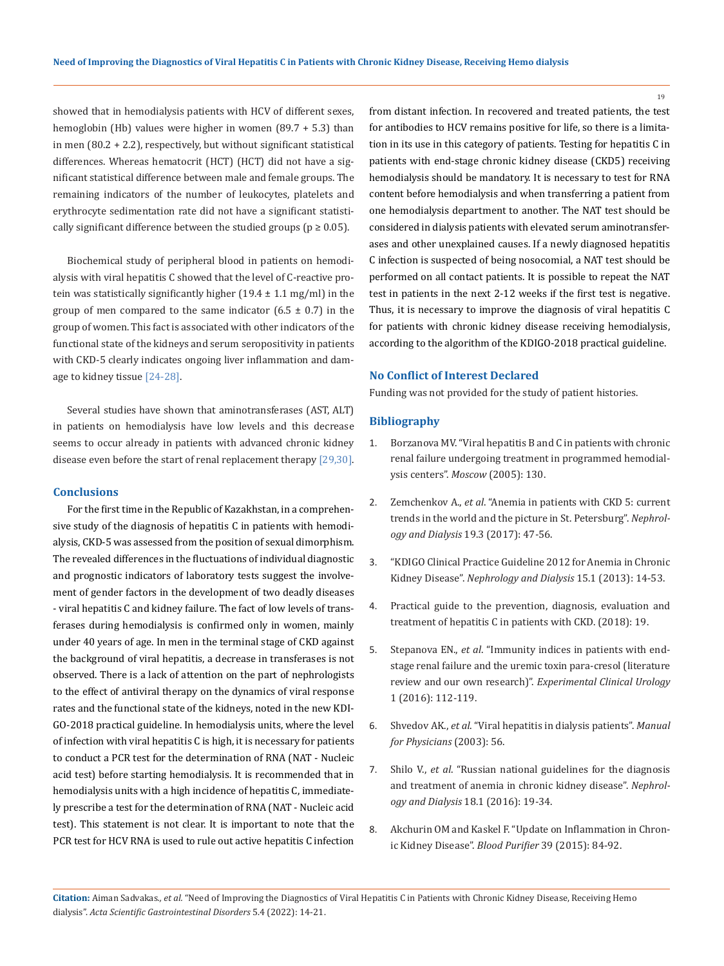showed that in hemodialysis patients with HCV of different sexes, hemoglobin (Hb) values were higher in women (89.7 + 5.3) than in men (80.2 + 2.2), respectively, but without significant statistical differences. Whereas hematocrit (HCT) (HCT) did not have a significant statistical difference between male and female groups. The remaining indicators of the number of leukocytes, platelets and erythrocyte sedimentation rate did not have a significant statistically significant difference between the studied groups ( $p \ge 0.05$ ).

Biochemical study of peripheral blood in patients on hemodialysis with viral hepatitis C showed that the level of C-reactive protein was statistically significantly higher  $(19.4 \pm 1.1 \text{ mg/ml})$  in the group of men compared to the same indicator  $(6.5 \pm 0.7)$  in the group of women. This fact is associated with other indicators of the functional state of the kidneys and serum seropositivity in patients with CKD-5 clearly indicates ongoing liver inflammation and damage to kidney tissue [24-28].

Several studies have shown that aminotransferases (AST, ALT) in patients on hemodialysis have low levels and this decrease seems to occur already in patients with advanced chronic kidney disease even before the start of renal replacement therapy [29,30].

#### **Conclusions**

For the first time in the Republic of Kazakhstan, in a comprehensive study of the diagnosis of hepatitis C in patients with hemodialysis, CKD-5 was assessed from the position of sexual dimorphism. The revealed differences in the fluctuations of individual diagnostic and prognostic indicators of laboratory tests suggest the involvement of gender factors in the development of two deadly diseases - viral hepatitis C and kidney failure. The fact of low levels of transferases during hemodialysis is confirmed only in women, mainly under 40 years of age. In men in the terminal stage of CKD against the background of viral hepatitis, a decrease in transferases is not observed. There is a lack of attention on the part of nephrologists to the effect of antiviral therapy on the dynamics of viral response rates and the functional state of the kidneys, noted in the new KDI-GO-2018 practical guideline. In hemodialysis units, where the level of infection with viral hepatitis C is high, it is necessary for patients to conduct a PCR test for the determination of RNA (NAT - Nucleic acid test) before starting hemodialysis. It is recommended that in hemodialysis units with a high incidence of hepatitis C, immediately prescribe a test for the determination of RNA (NAT - Nucleic acid test). This statement is not clear. It is important to note that the PCR test for HCV RNA is used to rule out active hepatitis C infection

from distant infection. In recovered and treated patients, the test for antibodies to HCV remains positive for life, so there is a limitation in its use in this category of patients. Testing for hepatitis C in patients with end-stage chronic kidney disease (CKD5) receiving hemodialysis should be mandatory. It is necessary to test for RNA content before hemodialysis and when transferring a patient from one hemodialysis department to another. The NAT test should be considered in dialysis patients with elevated serum aminotransferases and other unexplained causes. If a newly diagnosed hepatitis C infection is suspected of being nosocomial, a NAT test should be performed on all contact patients. It is possible to repeat the NAT test in patients in the next 2-12 weeks if the first test is negative. Thus, it is necessary to improve the diagnosis of viral hepatitis C for patients with chronic kidney disease receiving hemodialysis, according to the algorithm of the KDIGO-2018 practical guideline.

### **No Conflict of Interest Declared**

Funding was not provided for the study of patient histories.

#### **Bibliography**

- 1. Borzanova MV. "Viral hepatitis B and C in patients with chronic renal failure undergoing treatment in programmed hemodialysis centers". *Moscow* (2005): 130.
- 2. Zemchenkov A., *et al*. "Anemia in patients with CKD 5: current trends in the world and the picture in St. Petersburg". *Nephrology and Dialysis* 19.3 (2017): 47-56.
- 3. ["KDIGO Clinical Practice Guideline 2012 for Anemia in Chronic](https://kdigo.org/wp-content/uploads/2016/10/KDIGO-2012-Anemia-Guideline-English.pdf) Kidney Disease". *[Nephrology and Dialysis](https://kdigo.org/wp-content/uploads/2016/10/KDIGO-2012-Anemia-Guideline-English.pdf)* 15.1 (2013): 14-53.
- 4. Рractical guide to the prevention, diagnosis, evaluation and treatment of hepatitis C in patients with CKD. (2018): 19.
- 5. Stepanova EN., *et al*. "Immunity indices in patients with endstage renal failure and the uremic toxin para-cresol (literature review and our own research)". *Experimental Clinical Urology* 1 (2016): 112-119.
- 6. Shvedov AK., *et al*. "Viral hepatitis in dialysis patients". *Manual for Physicians* (2003): 56.
- 7. Shilo V., *et al*. "Russian national guidelines for the diagnosis and treatment of anemia in chronic kidney disease". *Nephrology and Dialysis* 18.1 (2016): 19-34.
- 8. [Akchurin OM and Kaskel F. "Update on Inflammation in Chron](https://pubmed.ncbi.nlm.nih.gov/25662331/)[ic Kidney Disease".](https://pubmed.ncbi.nlm.nih.gov/25662331/) *Blood Purifier* 39 (2015): 84-92.

**Citation:** Aiman Sadvakas*., et al.* "Need of Improving the Diagnostics of Viral Hepatitis C in Patients with Chronic Kidney Disease, Receiving Hemo dialysis". *Acta Scientific Gastrointestinal Disorders* 5.4 (2022): 14-21.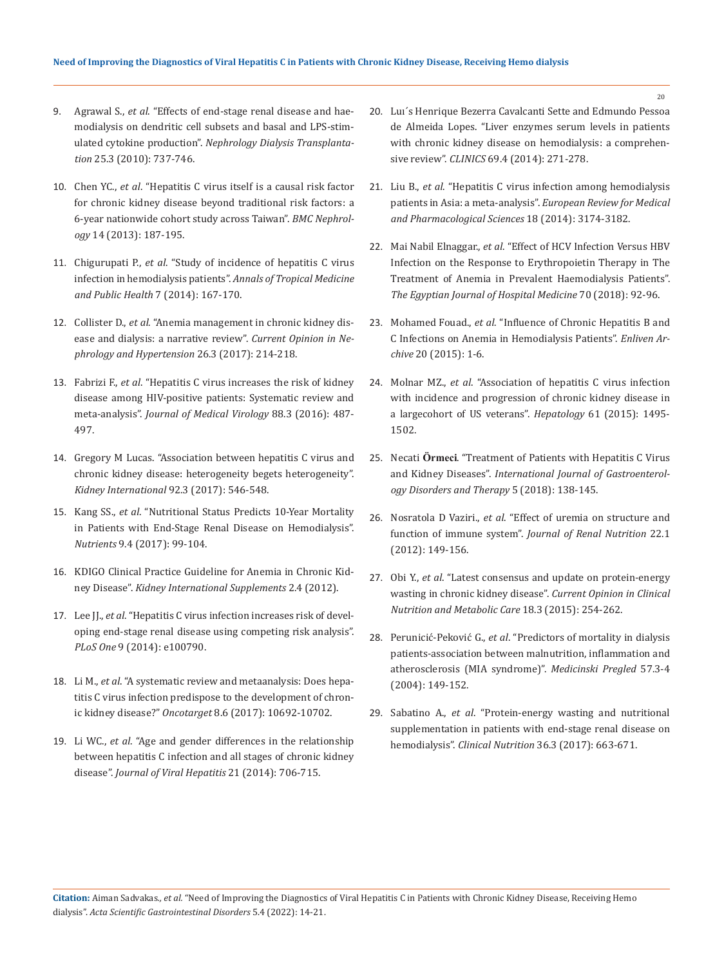- 9. Agrawal S., *et al*[. "Effects of end-stage renal disease and hae](https://pubmed.ncbi.nlm.nih.gov/19903659/)[modialysis on dendritic cell subsets and basal and LPS-stim](https://pubmed.ncbi.nlm.nih.gov/19903659/)ulated cytokine production". *[Nephrology Dialysis Transplanta](https://pubmed.ncbi.nlm.nih.gov/19903659/)tion* [25.3 \(2010\): 737-746.](https://pubmed.ncbi.nlm.nih.gov/19903659/)
- 10. Chen YC., *et al*[. "Hepatitis C virus itself is a causal risk factor](https://pubmed.ncbi.nlm.nih.gov/24011024/) [for chronic kidney disease beyond traditional risk factors: a](https://pubmed.ncbi.nlm.nih.gov/24011024/) [6-year nationwide cohort study across Taiwan".](https://pubmed.ncbi.nlm.nih.gov/24011024/) *BMC Nephrology* [14 \(2013\): 187-195.](https://pubmed.ncbi.nlm.nih.gov/24011024/)
- 11. Chigurupati P., *et al*[. "Study of incidence of hepatitis C virus](https://www.jdrntruhs.org/article.asp?issn=2277-8632;year=2014;volume=3;issue=1;spage=19;epage=22;aulast=Chigurupati) [infection in hemodialysis patients".](https://www.jdrntruhs.org/article.asp?issn=2277-8632;year=2014;volume=3;issue=1;spage=19;epage=22;aulast=Chigurupati) *Annals of Tropical Medicine [and Public Health](https://www.jdrntruhs.org/article.asp?issn=2277-8632;year=2014;volume=3;issue=1;spage=19;epage=22;aulast=Chigurupati)* 7 (2014): 167-170.
- 12. Collister D., *et al*[. "Anemia management in chronic kidney dis](https://pubmed.ncbi.nlm.nih.gov/28306566/)[ease and dialysis: a narrative review".](https://pubmed.ncbi.nlm.nih.gov/28306566/) *Current Opinion in Ne[phrology and Hypertension](https://pubmed.ncbi.nlm.nih.gov/28306566/)* 26.3 (2017): 214-218.
- 13. Fabrizi F., *et al*[. "Hepatitis C virus increases the risk of kidney](https://pubmed.ncbi.nlm.nih.gov/26271205/) [disease among HIV-positive patients: Systematic review and](https://pubmed.ncbi.nlm.nih.gov/26271205/) meta-analysis". *[Journal of Medical Virology](https://pubmed.ncbi.nlm.nih.gov/26271205/)* 88.3 (2016): 487- [497.](https://pubmed.ncbi.nlm.nih.gov/26271205/)
- 14. [Gregory M Lucas. "Association between hepatitis C virus and](https://www.kidney-international.org/article/S0085-2538(17)30316-2/fulltext) [chronic kidney disease: heterogeneity begets heterogeneity".](https://www.kidney-international.org/article/S0085-2538(17)30316-2/fulltext) *[Kidney International](https://www.kidney-international.org/article/S0085-2538(17)30316-2/fulltext)* 92.3 (2017): 546-548.
- 15. Kang SS., *et al*[. "Nutritional Status Predicts 10-Year Mortality](https://pubmed.ncbi.nlm.nih.gov/28420212/) [in Patients with End-Stage Renal Disease on Hemodialysis".](https://pubmed.ncbi.nlm.nih.gov/28420212/) *Nutrients* [9.4 \(2017\): 99-104.](https://pubmed.ncbi.nlm.nih.gov/28420212/)
- 16. [KDIGO Clinical Practice Guideline for Anemia in Chronic Kid](https://kdigo.org/wp-content/uploads/2016/10/KDIGO-2012-Anemia-Guideline-English.pdf)ney Disease". *[Kidney International Supplements](https://kdigo.org/wp-content/uploads/2016/10/KDIGO-2012-Anemia-Guideline-English.pdf)* 2.4 (2012).
- 17. Lee JJ., *et al*[. "Hepatitis C virus infection increases risk of devel](file:///C:/Users/DELL/Desktop/07-02-2022/PDF/ASGIS/ASGIS-22-RA-018/b)[oping end-stage renal disease using competing risk analysis".](file:///C:/Users/DELL/Desktop/07-02-2022/PDF/ASGIS/ASGIS-22-RA-018/b) *PLoS One* [9 \(2014\): e100790.](file:///C:/Users/DELL/Desktop/07-02-2022/PDF/ASGIS/ASGIS-22-RA-018/b)
- 18. Li M., *et al*[. "A systematic review and metaanalysis: Does hepa](https://pubmed.ncbi.nlm.nih.gov/27793016/)[titis C virus infection predispose to the development of chron](https://pubmed.ncbi.nlm.nih.gov/27793016/)ic kidney disease?" *Oncotarget* [8.6 \(2017\): 10692-10702.](https://pubmed.ncbi.nlm.nih.gov/27793016/)
- 19. Li WC., *et al*[. "Age and gender differences in the relationship](https://pubmed.ncbi.nlm.nih.gov/24304473/) [between hepatitis C infection and all stages of chronic kidney](https://pubmed.ncbi.nlm.nih.gov/24304473/) disease". *[Journal of Viral Hepatitis](https://pubmed.ncbi.nlm.nih.gov/24304473/)* 21 (2014): 706-715.
- 20. [Luı´s Henrique Bezerra Cavalcanti Sette and Edmundo Pessoa](https://pubmed.ncbi.nlm.nih.gov/24714836/) [de Almeida Lopes. "Liver enzymes serum levels in patients](https://pubmed.ncbi.nlm.nih.gov/24714836/)  [with chronic kidney disease on hemodialysis: a comprehen](https://pubmed.ncbi.nlm.nih.gov/24714836/)sive review". *CLINICS* [69.4 \(2014\): 271-278.](https://pubmed.ncbi.nlm.nih.gov/24714836/)
- 21. Liu B., *et al*[. "Hepatitis C virus infection among hemodialysis](https://pubmed.ncbi.nlm.nih.gov/25487925/)  [patients in Asia: a meta-analysis".](https://pubmed.ncbi.nlm.nih.gov/25487925/) *European Review for Medical [and Pharmacological Sciences](https://pubmed.ncbi.nlm.nih.gov/25487925/)* 18 (2014): 3174-3182.
- 22. Mai Nabil Elnaggar., *et al*[. "Effect of HCV Infection Versus HBV](https://ejhm.journals.ekb.eg/article_11526_ba21e677b49f289ca362a53d8c8326c4.pdf) [Infection on the Response to Erythropoietin Therapy in The](https://ejhm.journals.ekb.eg/article_11526_ba21e677b49f289ca362a53d8c8326c4.pdf) [Treatment of Anemia in Prevalent Haemodialysis Patients".](https://ejhm.journals.ekb.eg/article_11526_ba21e677b49f289ca362a53d8c8326c4.pdf)  *[The Egyptian Journal of Hospital Medicine](https://ejhm.journals.ekb.eg/article_11526_ba21e677b49f289ca362a53d8c8326c4.pdf)* 70 (2018): 92-96.
- 23. Mohamed Fouad., *et al*. "Infl[uence of Chronic Hepatitis B and](https://www.researchgate.net/publication/282705461_Influence_of_Chronic_Hepatitis_B_and_C_Infections_on_Anemia_in_Hemodialysis_Patients) [C Infections on Anemia in Hemodialysis Patients".](https://www.researchgate.net/publication/282705461_Influence_of_Chronic_Hepatitis_B_and_C_Infections_on_Anemia_in_Hemodialysis_Patients) *Enliven Archive* [20 \(2015\): 1-6.](https://www.researchgate.net/publication/282705461_Influence_of_Chronic_Hepatitis_B_and_C_Infections_on_Anemia_in_Hemodialysis_Patients)
- 24. Molnar MZ., *et al*[. "Association of hepatitis C virus infection](https://pubmed.ncbi.nlm.nih.gov/25529816/) [with incidence and progression of chronic kidney disease in](https://pubmed.ncbi.nlm.nih.gov/25529816/) [a largecohort of US veterans".](https://pubmed.ncbi.nlm.nih.gov/25529816/) *Hepatology* 61 (2015): 1495- [1502.](https://pubmed.ncbi.nlm.nih.gov/25529816/)
- 25. Necati **Örmeci**. "Treatment of Patients with Hepatitis C Virus and Kidney Diseases". *International Journal of Gastroenterology Disorders and Therapy* 5 (2018): 138-145.
- 26. Nosratola D Vaziri., *et al*[. "Effect of uremia on structure and](https://pubmed.ncbi.nlm.nih.gov/22200433/)  function of immune system". *[Journal of Renal Nutrition](https://pubmed.ncbi.nlm.nih.gov/22200433/)* 22.1 [\(2012\): 149-156.](https://pubmed.ncbi.nlm.nih.gov/22200433/)
- 27. Obi Y., *et al*[. "Latest consensus and update on protein-energy](https://pubmed.ncbi.nlm.nih.gov/25807354/)  [wasting in chronic kidney disease".](https://pubmed.ncbi.nlm.nih.gov/25807354/) *Current Opinion in Clinical [Nutrition and Metabolic Care](https://pubmed.ncbi.nlm.nih.gov/25807354/)* 18.3 (2015): 254-262.
- 28. Perunicić-Peković G., *et al*[. "Predictors of mortality in dialysis](https://pubmed.ncbi.nlm.nih.gov/15462598/) [patients-association between malnutrition, inflammation and](https://pubmed.ncbi.nlm.nih.gov/15462598/)  [atherosclerosis \(MIA syndrome\)".](https://pubmed.ncbi.nlm.nih.gov/15462598/) *Medicinski Pregled* 57.3-4 [\(2004\): 149-152.](https://pubmed.ncbi.nlm.nih.gov/15462598/)
- 29. Sabatino A., *et al*[. "Protein-energy wasting and nutritional](https://pubmed.ncbi.nlm.nih.gov/27371993/)  [supplementation in patients with end-stage renal disease on](https://pubmed.ncbi.nlm.nih.gov/27371993/)  hemodialysis". *Clinical Nutrition* [36.3 \(2017\): 663-671.](https://pubmed.ncbi.nlm.nih.gov/27371993/)